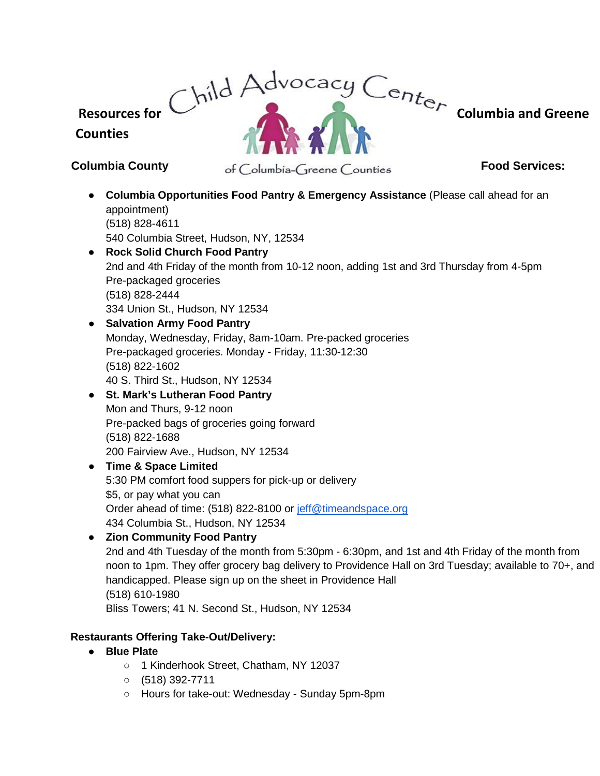**Resources for Columbia and Greene** 

# **Counties**

**Columbia County Food Services:** Food Services:

- **Columbia Opportunities Food Pantry & Emergency Assistance** (Please call ahead for an appointment) (518) 828-4611 540 Columbia Street, Hudson, NY, 12534 ● **Rock Solid Church Food Pantry**
- 2nd and 4th Friday of the month from 10-12 noon, adding 1st and 3rd Thursday from 4-5pm Pre-packaged groceries (518) 828-2444 334 Union St., Hudson, NY 12534
- **Salvation Army Food Pantry** Monday, Wednesday, Friday, 8am-10am. Pre-packed groceries Pre-packaged groceries. Monday - Friday, 11:30-12:30 (518) 822-1602 40 S. Third St., Hudson, NY 12534
- **St. Mark's Lutheran Food Pantry** Mon and Thurs, 9-12 noon Pre-packed bags of groceries going forward (518) 822-1688 200 Fairview Ave., Hudson, NY 12534
- **Time & Space Limited** 5:30 PM comfort food suppers for pick-up or delivery \$5, or pay what you can Order ahead of time: (518) 822-8100 or [jeff@timeandspace.org](mailto:jeff@timeandspace.org) 434 Columbia St., Hudson, NY 12534
- **Zion Community Food Pantry**
	- 2nd and 4th Tuesday of the month from 5:30pm 6:30pm, and 1st and 4th Friday of the month from noon to 1pm. They offer grocery bag delivery to Providence Hall on 3rd Tuesday; available to 70+, and handicapped. Please sign up on the sheet in Providence Hall (518) 610-1980

Bliss Towers; 41 N. Second St., Hudson, NY 12534

# **Restaurants Offering Take-Out/Delivery:**

- **Blue Plate** 
	- 1 Kinderhook Street, Chatham, NY 12037
	- $\circ$  (518) 392-7711
	- Hours for take-out: Wednesday Sunday 5pm-8pm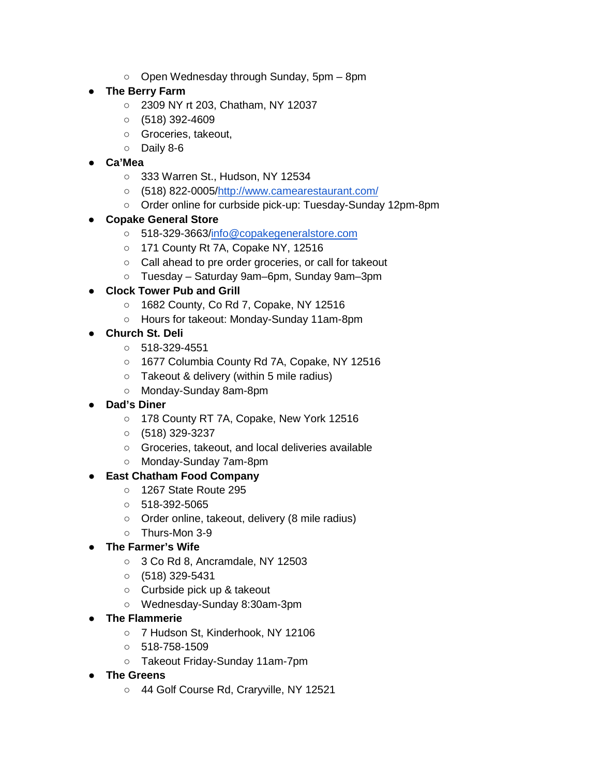$\circ$  Open Wednesday through Sunday, 5pm – 8pm

# ● **The Berry Farm**

- 2309 NY rt 203, Chatham, NY 12037
- $\circ$  (518) 392-4609
- Groceries, takeout,
- Daily 8-6
- **Ca'Mea**
	- 333 Warren St., Hudson, NY 12534
	- (518) 822-0005[/http://www.camearestaurant.com/](http://www.camearestaurant.com/)
	- Order online for curbside pick-up: Tuesday-Sunday 12pm-8pm
- **Copake General Store**
	- 518-329-3663[/info@copakegeneralstore.com](mailto:info@copakegeneralstore.com)
	- 171 County Rt 7A, Copake NY, 12516
	- Call ahead to pre order groceries, or call for takeout
	- Tuesday Saturday 9am–6pm, Sunday 9am–3pm
- **Clock Tower Pub and Grill**
	- 1682 County, Co Rd 7, Copake, NY 12516
	- Hours for takeout: Monday-Sunday 11am-8pm
- **Church St. Deli** 
	- 518-329-4551
	- 1677 Columbia County Rd 7A, Copake, NY 12516
	- Takeout & delivery (within 5 mile radius)
	- Monday-Sunday 8am-8pm
- **Dad's Diner** 
	- 178 County RT 7A, Copake, New York 12516
	- $\circ$  (518) 329-3237
	- Groceries, takeout, and local deliveries available
	- Monday-Sunday 7am-8pm
- **East Chatham Food Company** 
	- 1267 State Route 295
	- $\circ$  518-392-5065
	- Order online, takeout, delivery (8 mile radius)
	- Thurs-Mon 3-9
- **The Farmer's Wife**
	- 3 Co Rd 8, Ancramdale, NY 12503
	- $\circ$  (518) 329-5431
	- Curbside pick up & takeout
	- Wednesday-Sunday 8:30am-3pm
- **The Flammerie**
	- 7 Hudson St, Kinderhook, NY 12106
	- 518-758-1509
	- Takeout Friday-Sunday 11am-7pm
- **The Greens**
	- 44 Golf Course Rd, Craryville, NY 12521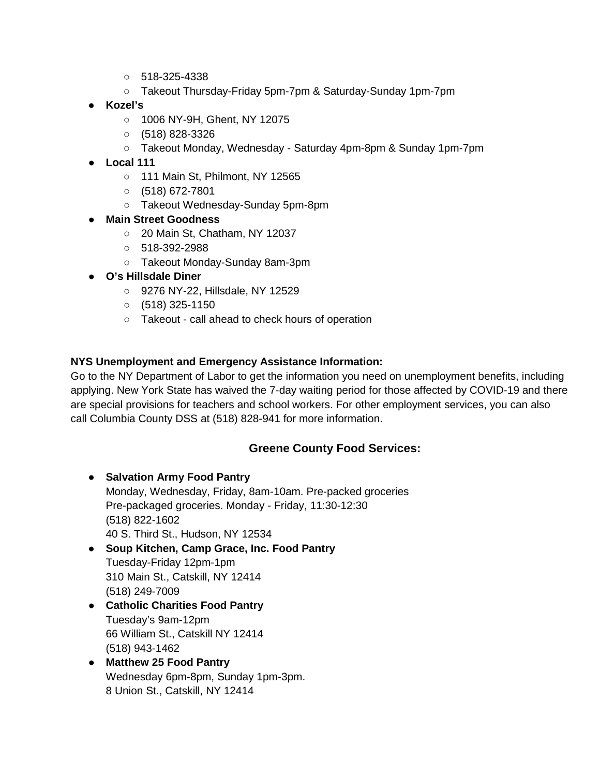- 518-325-4338
- Takeout Thursday-Friday 5pm-7pm & Saturday-Sunday 1pm-7pm
- **Kozel's** 
	- 1006 NY-9H, Ghent, NY 12075
	- $\circ$  (518) 828-3326
	- Takeout Monday, Wednesday Saturday 4pm-8pm & Sunday 1pm-7pm
- **Local 111**
	- 111 Main St, Philmont, NY 12565
	- $O$  (518) 672-7801
	- Takeout Wednesday-Sunday 5pm-8pm
- **Main Street Goodness**
	- 20 Main St, Chatham, NY 12037
	- 518-392-2988
	- Takeout Monday-Sunday 8am-3pm
- **O's Hillsdale Diner** 
	- 9276 NY-22, Hillsdale, NY 12529
	- $\circ$  (518) 325-1150
	- Takeout call ahead to check hours of operation

# **NYS Unemployment and Emergency Assistance Information:**

Go to the NY Department of Labor to get the information you need on unemployment benefits, including applying. New York State has waived the 7-day waiting period for those affected by COVID-19 and there are special provisions for teachers and school workers. For other employment services, you can also call Columbia County DSS at (518) 828-941 for more information.

# **Greene County Food Services:**

- **Salvation Army Food Pantry** Monday, Wednesday, Friday, 8am-10am. Pre-packed groceries Pre-packaged groceries. Monday - Friday, 11:30-12:30 (518) 822-1602 40 S. Third St., Hudson, NY 12534
- **Soup Kitchen, Camp Grace, Inc. Food Pantry** Tuesday-Friday 12pm-1pm 310 Main St., Catskill, NY 12414 (518) 249-7009
- **Catholic Charities Food Pantry** Tuesday's 9am-12pm 66 William St., Catskill NY 12414 (518) 943-1462
- **Matthew 25 Food Pantry** Wednesday 6pm-8pm, Sunday 1pm-3pm. 8 Union St., Catskill, NY 12414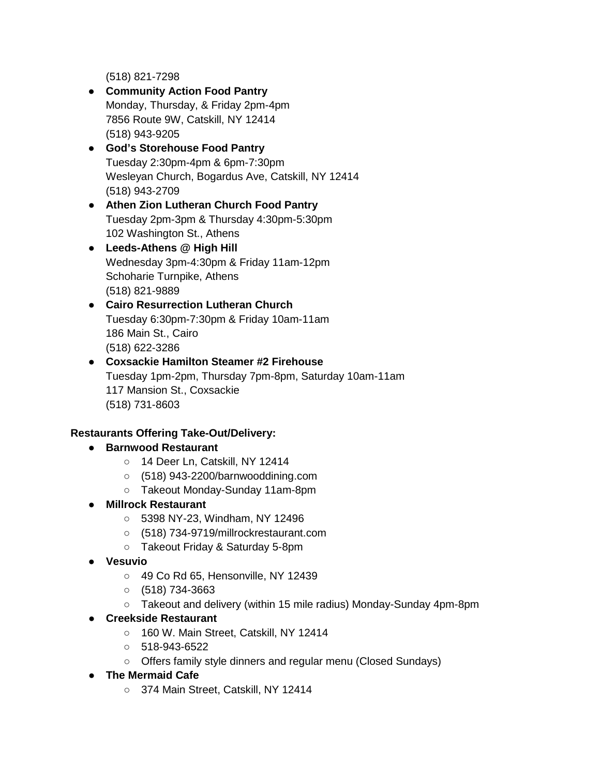(518) 821-7298

- **Community Action Food Pantry**  Monday, Thursday, & Friday 2pm-4pm 7856 Route 9W, Catskill, NY 12414 (518) 943-9205
- **God's Storehouse Food Pantry** Tuesday 2:30pm-4pm & 6pm-7:30pm Wesleyan Church, Bogardus Ave, Catskill, NY 12414 (518) 943-2709
- **Athen Zion Lutheran Church Food Pantry** Tuesday 2pm-3pm & Thursday 4:30pm-5:30pm 102 Washington St., Athens
- **Leeds-Athens @ High Hill** Wednesday 3pm-4:30pm & Friday 11am-12pm Schoharie Turnpike, Athens (518) 821-9889
- **Cairo Resurrection Lutheran Church** Tuesday 6:30pm-7:30pm & Friday 10am-11am 186 Main St., Cairo (518) 622-3286
- **Coxsackie Hamilton Steamer #2 Firehouse**  Tuesday 1pm-2pm, Thursday 7pm-8pm, Saturday 10am-11am 117 Mansion St., Coxsackie (518) 731-8603

# **Restaurants Offering Take-Out/Delivery:**

- **Barnwood Restaurant** 
	- o 14 Deer Ln, Catskill, NY 12414
	- (518) 943-2200/barnwooddining.com
	- Takeout Monday-Sunday 11am-8pm
- **Millrock Restaurant** 
	- 5398 NY-23, Windham, NY 12496
	- (518) 734-9719/millrockrestaurant.com
	- Takeout Friday & Saturday 5-8pm
- **Vesuvio**
	- 49 Co Rd 65, Hensonville, NY 12439
	- $\circ$  (518) 734-3663
	- Takeout and delivery (within 15 mile radius) Monday-Sunday 4pm-8pm
- **Creekside Restaurant**
	- 160 W. Main Street, Catskill, NY 12414
	- 518-943-6522
	- Offers family style dinners and regular menu (Closed Sundays)
- **The Mermaid Cafe**
	- 374 Main Street, Catskill, NY 12414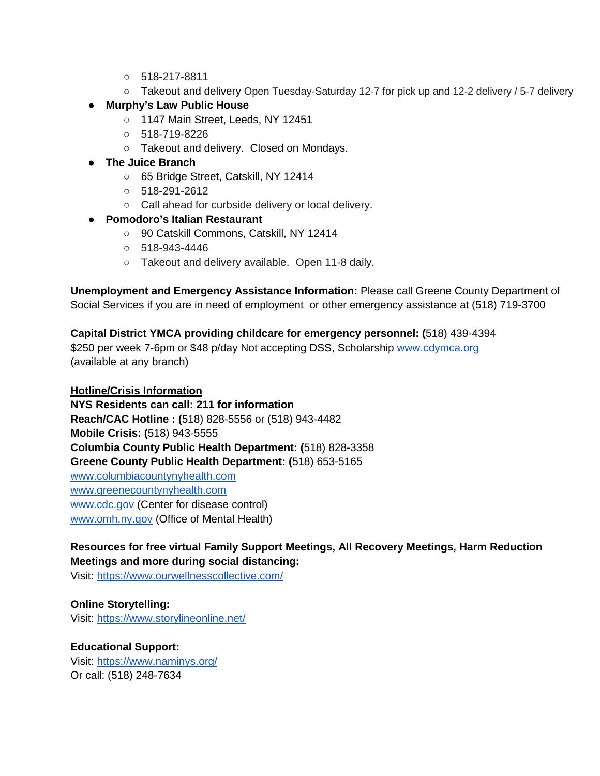- 518-217-8811
- Takeout and delivery Open Tuesday-Saturday 12-7 for pick up and 12-2 delivery / 5-7 delivery
- **Murphy's Law Public House**
	- 1147 Main Street, Leeds, NY 12451
	- 518-719-8226
	- Takeout and delivery. Closed on Mondays.
- **The Juice Branch**
	- 65 Bridge Street, Catskill, NY 12414
	- 518-291-2612
	- Call ahead for curbside delivery or local delivery.
- **Pomodoro's Italian Restaurant**
	- 90 Catskill Commons, Catskill, NY 12414
	- 518-943-4446
	- o Takeout and delivery available. Open 11-8 daily.

**Unemployment and Emergency Assistance Information:** Please call Greene County Department of Social Services if you are in need of employment or other emergency assistance at (518) 719-3700

**Capital District YMCA providing childcare for emergency personnel: (**518) 439-4394 \$250 per week 7-6pm or \$48 p/day Not accepting DSS, Scholarship [www.cdymca.org](http://www.cdymca.org/) (available at any branch)

## **Hotline/Crisis Information**

**NYS Residents can call: 211 for information Reach/CAC Hotline : (**518) 828-5556 or (518) 943-4482 **Mobile Crisis: (**518) 943-5555 **Columbia County Public Health Department: (**518) 828-3358 **Greene County Public Health Department: (**518) 653-5165 [www.columbiacountynyhealth.com](http://www.columbiacountynyhealth.com/) [www.greenecountynyhealth.com](http://www.greenecountynyhealth.com/) [www.cdc.gov](http://www.cdc.gov/) (Center for disease control) [www.omh.ny.gov](http://www.omh.ny.gov/) (Office of Mental Health)

**Resources for free virtual Family Support Meetings, All Recovery Meetings, Harm Reduction Meetings and more during social distancing:**

Visit:<https://www.ourwellnesscollective.com/>

# **Online Storytelling:**

Visit:<https://www.storylineonline.net/>

# **Educational Support:**

Visit:<https://www.naminys.org/> Or call: (518) 248-7634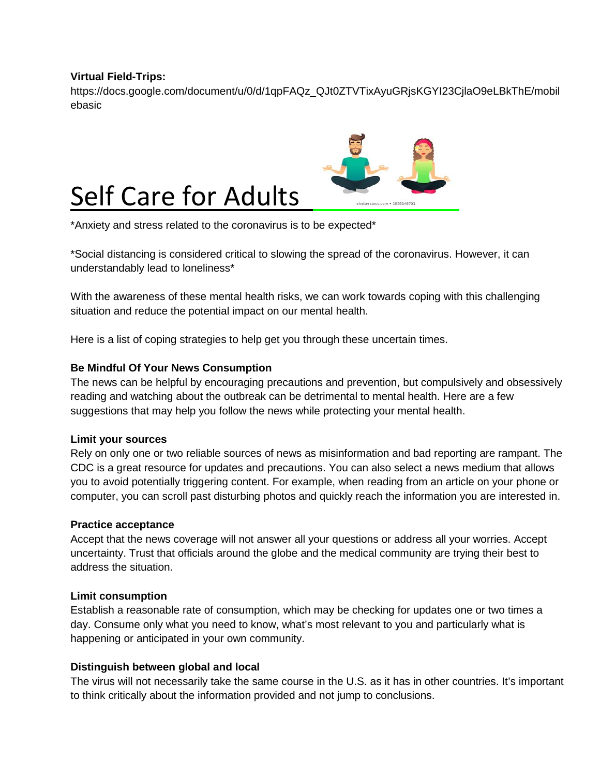# **Virtual Field-Trips:**

https://docs.google.com/document/u/0/d/1qpFAQz\_QJt0ZTVTixAyuGRjsKGYI23CjlaO9eLBkThE/mobil ebasic



\*Anxiety and stress related to the coronavirus is to be expected\*

\*Social distancing is considered critical to slowing the spread of the coronavirus. However, it can understandably lead to loneliness\*

With the awareness of these mental health risks, we can work towards coping with this challenging situation and reduce the potential impact on our mental health.

Here is a list of coping strategies to help get you through these uncertain times.

# **Be Mindful Of Your News Consumption**

The news can be helpful by encouraging precautions and prevention, but compulsively and obsessively reading and watching about the outbreak can be detrimental to mental health. Here are a few suggestions that may help you follow the news while protecting your mental health.

### **Limit your sources**

Rely on only one or two reliable sources of news as misinformation and bad reporting are rampant. The CDC is a great resource for updates and precautions. You can also select a news medium that allows you to avoid potentially triggering content. For example, when reading from an article on your phone or computer, you can scroll past disturbing photos and quickly reach the information you are interested in.

### **Practice acceptance**

Accept that the news coverage will not answer all your questions or address all your worries. Accept uncertainty. Trust that officials around the globe and the medical community are trying their best to address the situation.

### **Limit consumption**

Establish a reasonable rate of consumption, which may be checking for updates one or two times a day. Consume only what you need to know, what's most relevant to you and particularly what is happening or anticipated in your own community.

### **Distinguish between global and local**

The virus will not necessarily take the same course in the U.S. as it has in other countries. It's important to think critically about the information provided and not jump to conclusions.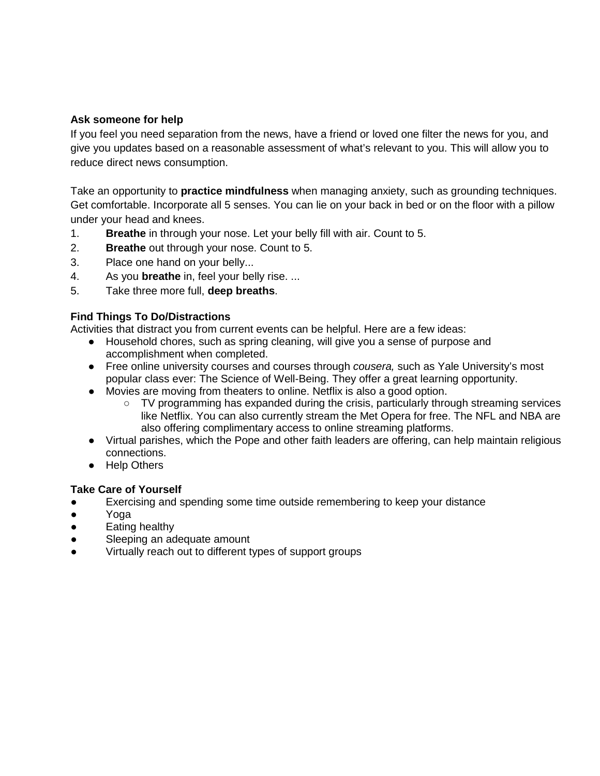# **Ask someone for help**

If you feel you need separation from the news, have a friend or loved one filter the news for you, and give you updates based on a reasonable assessment of what's relevant to you. This will allow you to reduce direct news consumption.

Take an opportunity to **practice mindfulness** when managing anxiety, such as grounding techniques. Get comfortable. Incorporate all 5 senses. You can lie on your back in bed or on the floor with a pillow under your head and knees.

- 1. **Breathe** in through your nose. Let your belly fill with air. Count to 5.
- 2. **Breathe** out through your nose. Count to 5.
- 3. Place one hand on your belly...
- 4. As you **breathe** in, feel your belly rise. ...
- 5. Take three more full, **deep breaths**.

### **Find Things To Do/Distractions**

Activities that distract you from current events can be helpful. Here are a few ideas:

- Household chores, such as spring cleaning, will give you a sense of purpose and accomplishment when completed.
- Free online university courses and courses through *cousera,* such as Yale University's most popular class ever: The Science of Well-Being. They offer a great learning opportunity.
- Movies are moving from theaters to online. Netflix is also a good option.
	- $\circ$  TV programming has expanded during the crisis, particularly through streaming services like Netflix. You can also currently stream the Met Opera for free. The NFL and NBA are also offering complimentary access to online streaming platforms.
- Virtual parishes, which the Pope and other faith leaders are offering, can help maintain religious connections.
- Help Others

### **Take Care of Yourself**

- Exercising and spending some time outside remembering to keep your distance
- Yoga
- Eating healthy
- Sleeping an adequate amount
- Virtually reach out to different types of support groups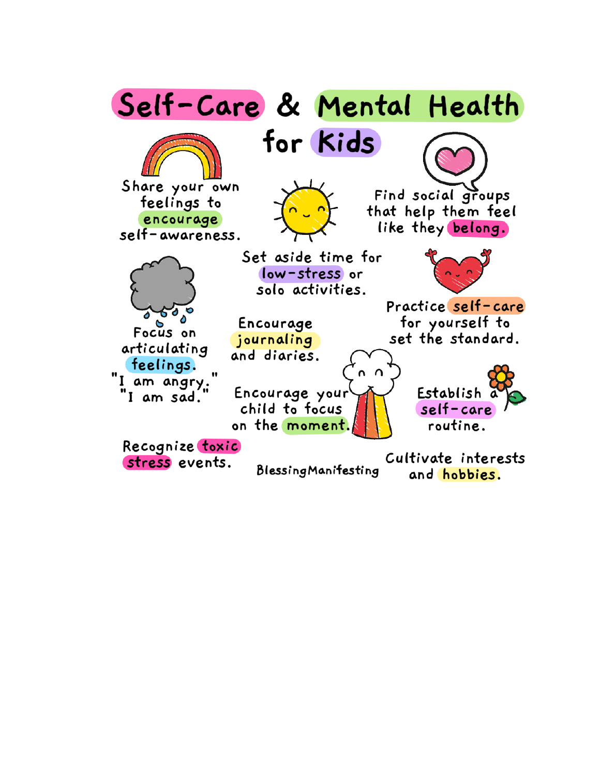